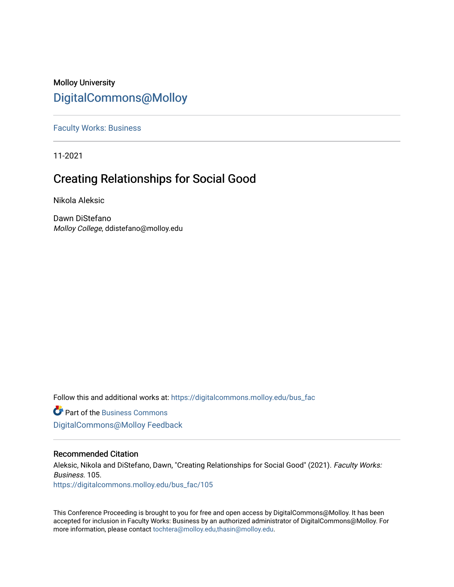## Molloy University [DigitalCommons@Molloy](https://digitalcommons.molloy.edu/)

[Faculty Works: Business](https://digitalcommons.molloy.edu/bus_fac) 

11-2021

# Creating Relationships for Social Good

Nikola Aleksic

Dawn DiStefano Molloy College, ddistefano@molloy.edu

Follow this and additional works at: [https://digitalcommons.molloy.edu/bus\\_fac](https://digitalcommons.molloy.edu/bus_fac?utm_source=digitalcommons.molloy.edu%2Fbus_fac%2F105&utm_medium=PDF&utm_campaign=PDFCoverPages)

**C** Part of the [Business Commons](https://network.bepress.com/hgg/discipline/622?utm_source=digitalcommons.molloy.edu%2Fbus_fac%2F105&utm_medium=PDF&utm_campaign=PDFCoverPages) [DigitalCommons@Molloy Feedback](https://molloy.libwizard.com/f/dcfeedback)

## Recommended Citation

Aleksic, Nikola and DiStefano, Dawn, "Creating Relationships for Social Good" (2021). Faculty Works: Business. 105. [https://digitalcommons.molloy.edu/bus\\_fac/105](https://digitalcommons.molloy.edu/bus_fac/105?utm_source=digitalcommons.molloy.edu%2Fbus_fac%2F105&utm_medium=PDF&utm_campaign=PDFCoverPages)

This Conference Proceeding is brought to you for free and open access by DigitalCommons@Molloy. It has been accepted for inclusion in Faculty Works: Business by an authorized administrator of DigitalCommons@Molloy. For more information, please contact [tochtera@molloy.edu,thasin@molloy.edu.](mailto:tochtera@molloy.edu,thasin@molloy.edu)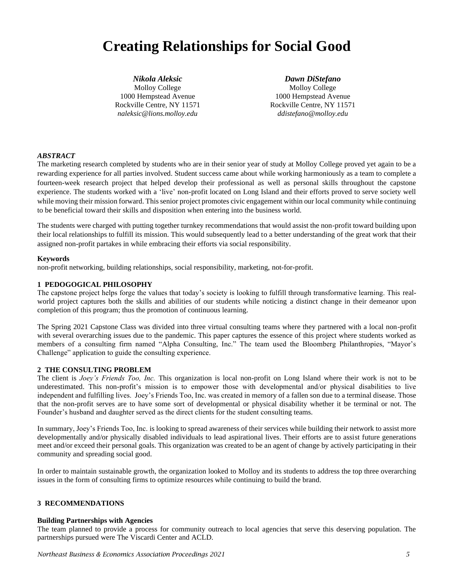# **Creating Relationships for Social Good**

*Nikola Aleksic* Molloy College 1000 Hempstead Avenue Rockville Centre, NY 11571 *naleksic@lions.molloy.edu*

*Dawn DiStefano* Molloy College 1000 Hempstead Avenue Rockville Centre, NY 11571 *ddistefano@molloy.edu*

## *ABSTRACT*

The marketing research completed by students who are in their senior year of study at Molloy College proved yet again to be a rewarding experience for all parties involved. Student success came about while working harmoniously as a team to complete a fourteen-week research project that helped develop their professional as well as personal skills throughout the capstone experience. The students worked with a 'live' non-profit located on Long Island and their efforts proved to serve society well while moving their mission forward. This senior project promotes civic engagement within our local community while continuing to be beneficial toward their skills and disposition when entering into the business world.

The students were charged with putting together turnkey recommendations that would assist the non-profit toward building upon their local relationships to fulfill its mission. This would subsequently lead to a better understanding of the great work that their assigned non-profit partakes in while embracing their efforts via social responsibility.

#### **Keywords**

non-profit networking, building relationships, social responsibility, marketing, not-for-profit.

### **1 PEDOGOGICAL PHILOSOPHY**

The capstone project helps forge the values that today's society is looking to fulfill through transformative learning. This realworld project captures both the skills and abilities of our students while noticing a distinct change in their demeanor upon completion of this program; thus the promotion of continuous learning.

The Spring 2021 Capstone Class was divided into three virtual consulting teams where they partnered with a local non-profit with several overarching issues due to the pandemic. This paper captures the essence of this project where students worked as members of a consulting firm named "Alpha Consulting, Inc." The team used the Bloomberg Philanthropies, "Mayor's Challenge" application to guide the consulting experience.

#### **2 THE CONSULTING PROBLEM**

The client is *Joey's Friends Too, Inc.* This organization is local non-profit on Long Island where their work is not to be underestimated. This non-profit's mission is to empower those with developmental and/or physical disabilities to live independent and fulfilling lives. Joey's Friends Too, Inc. was created in memory of a fallen son due to a terminal disease. Those that the non-profit serves are to have some sort of developmental or physical disability whether it be terminal or not. The Founder's husband and daughter served as the direct clients for the student consulting teams.

In summary, Joey's Friends Too, Inc. is looking to spread awareness of their services while building their network to assist more developmentally and/or physically disabled individuals to lead aspirational lives. Their efforts are to assist future generations meet and/or exceed their personal goals. This organization was created to be an agent of change by actively participating in their community and spreading social good.

In order to maintain sustainable growth, the organization looked to Molloy and its students to address the top three overarching issues in the form of consulting firms to optimize resources while continuing to build the brand.

## **3 RECOMMENDATIONS**

#### **Building Partnerships with Agencies**

The team planned to provide a process for community outreach to local agencies that serve this deserving population. The partnerships pursued were The Viscardi Center and ACLD.